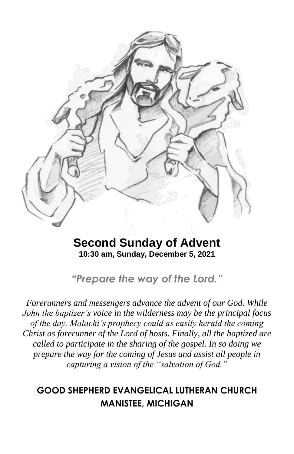

## **Second Sunday of Advent 10:30 am, Sunday, December 5, 2021**

*"Prepare the way of the Lord."*

*Forerunners and messengers advance the advent of our God. While John the baptizer's voice in the wilderness may be the principal focus of the day, Malachi's prophecy could as easily herald the coming Christ as forerunner of the Lord of hosts. Finally, all the baptized are called to participate in the sharing of the gospel. In so doing we prepare the way for the coming of Jesus and assist all people in capturing a vision of the "salvation of God."*

# **GOOD SHEPHERD EVANGELICAL LUTHERAN CHURCH MANISTEE, MICHIGAN**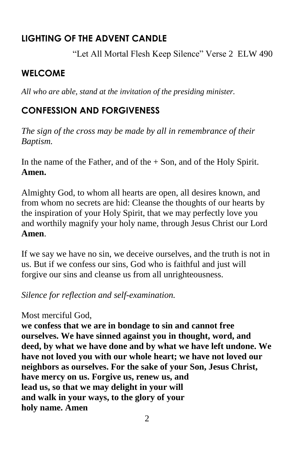# **LIGHTING OF THE ADVENT CANDLE**

"Let All Mortal Flesh Keep Silence" Verse 2 ELW 490

# **WELCOME**

*All who are able, stand at the invitation of the presiding minister.*

# **CONFESSION AND FORGIVENESS**

*The sign of the cross may be made by all in remembrance of their Baptism.*

In the name of the Father, and of the  $+$  Son, and of the Holy Spirit. **Amen.**

Almighty God, to whom all hearts are open, all desires known, and from whom no secrets are hid: Cleanse the thoughts of our hearts by the inspiration of your Holy Spirit, that we may perfectly love you and worthily magnify your holy name, through Jesus Christ our Lord **Amen**.

If we say we have no sin, we deceive ourselves, and the truth is not in us. But if we confess our sins, God who is faithful and just will forgive our sins and cleanse us from all unrighteousness.

*Silence for reflection and self-examination.*

#### Most merciful God,

**we confess that we are in bondage to sin and cannot free ourselves. We have sinned against you in thought, word, and deed, by what we have done and by what we have left undone. We have not loved you with our whole heart; we have not loved our neighbors as ourselves. For the sake of your Son, Jesus Christ, have mercy on us. Forgive us, renew us, and lead us, so that we may delight in your will and walk in your ways, to the glory of your holy name. Amen**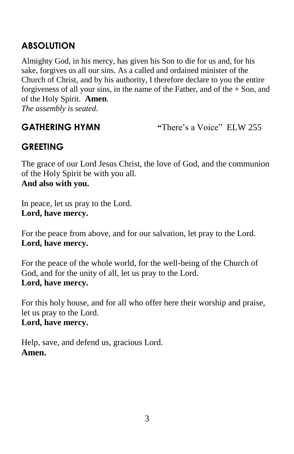# **ABSOLUTION**

Almighty God, in his mercy, has given his Son to die for us and, for his sake, forgives us all our sins. As a called and ordained minister of the Church of Christ, and by his authority, I therefore declare to you the entire forgiveness of all your sins, in the name of the Father, and of the + Son, and of the Holy Spirit. **Amen**.

*The assembly is seated.*

**GATHERING HYMN "**There's a Voice" ELW 255

## **GREETING**

The grace of our Lord Jesus Christ, the love of God, and the communion of the Holy Spirit be with you all. **And also with you.**

In peace, let us pray to the Lord. **Lord, have mercy.**

For the peace from above, and for our salvation, let pray to the Lord. **Lord, have mercy.**

For the peace of the whole world, for the well-being of the Church of God, and for the unity of all, let us pray to the Lord. **Lord, have mercy.**

For this holy house, and for all who offer here their worship and praise, let us pray to the Lord. **Lord, have mercy.**

Help, save, and defend us, gracious Lord. **Amen.**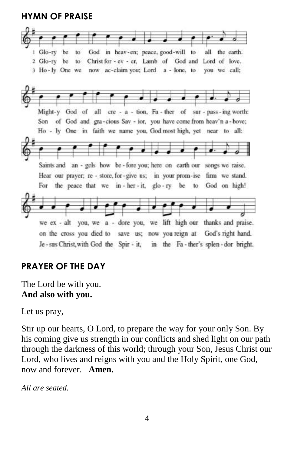# **HYMN OF PRAISE**



# **PRAYER OF THE DAY**

The Lord be with you. **And also with you.**

Let us pray,

Stir up our hearts, O Lord, to prepare the way for your only Son. By his coming give us strength in our conflicts and shed light on our path through the darkness of this world; through your Son, Jesus Christ our Lord, who lives and reigns with you and the Holy Spirit, one God, now and forever. **Amen.**

*All are seated.*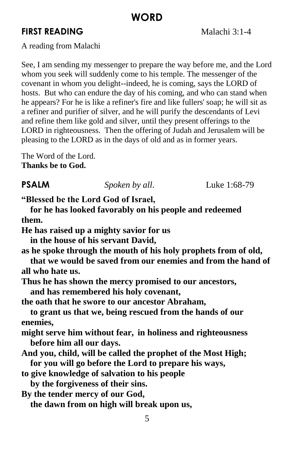# **WORD**

# **FIRST READING** Malachi 3:1-4

A reading from Malachi

See, I am sending my messenger to prepare the way before me, and the Lord whom you seek will suddenly come to his temple. The messenger of the covenant in whom you delight--indeed, he is coming, says the LORD of hosts. But who can endure the day of his coming, and who can stand when he appears? For he is like a refiner's fire and like fullers' soap; he will sit as a refiner and purifier of silver, and he will purify the descendants of Levi and refine them like gold and silver, until they present offerings to the LORD in righteousness. Then the offering of Judah and Jerusalem will be pleasing to the LORD as in the days of old and as in former years.

The Word of the Lord. **Thanks be to God.**

**PSALM** *Spoken by all*. Luke 1:68-79

**"Blessed be the Lord God of Israel,**

 **for he has looked favorably on his people and redeemed them.**

**He has raised up a mighty savior for us**

 **in the house of his servant David,**

**as he spoke through the mouth of his holy prophets from of old,**

 **that we would be saved from our enemies and from the hand of all who hate us.**

**Thus he has shown the mercy promised to our ancestors, and has remembered his holy covenant,**

**the oath that he swore to our ancestor Abraham,**

 **to grant us that we, being rescued from the hands of our enemies,**

**might serve him without fear, in holiness and righteousness before him all our days.**

**And you, child, will be called the prophet of the Most High; for you will go before the Lord to prepare his ways,**

**to give knowledge of salvation to his people**

 **by the forgiveness of their sins.**

**By the tender mercy of our God,**

 **the dawn from on high will break upon us,**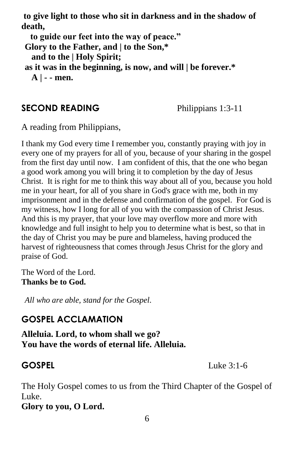**to give light to those who sit in darkness and in the shadow of death,**

 **to guide our feet into the way of peace." Glory to the Father, and | to the Son,\* and to the | Holy Spirit; as it was in the beginning, is now, and will | be forever.\* A | - - men.**

### **SECOND READING** Philippians 1:3-11

A reading from Philippians,

I thank my God every time I remember you, constantly praying with joy in every one of my prayers for all of you, because of your sharing in the gospel from the first day until now. I am confident of this, that the one who began a good work among you will bring it to completion by the day of Jesus Christ. It is right for me to think this way about all of you, because you hold me in your heart, for all of you share in God's grace with me, both in my imprisonment and in the defense and confirmation of the gospel. For God is my witness, how I long for all of you with the compassion of Christ Jesus. And this is my prayer, that your love may overflow more and more with knowledge and full insight to help you to determine what is best, so that in the day of Christ you may be pure and blameless, having produced the harvest of righteousness that comes through Jesus Christ for the glory and praise of God.

The Word of the Lord. **Thanks be to God.**

*All who are able, stand for the Gospel.*

## **GOSPEL ACCLAMATION**

**Alleluia. Lord, to whom shall we go? You have the words of eternal life. Alleluia.**

**GOSPEL** Luke 3:1-6

The Holy Gospel comes to us from the Third Chapter of the Gospel of Luke.

**Glory to you, O Lord.**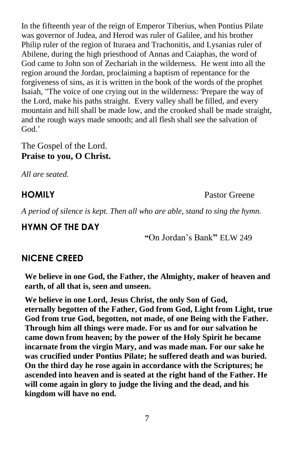In the fifteenth year of the reign of Emperor Tiberius, when Pontius Pilate was governor of Judea, and Herod was ruler of Galilee, and his brother Philip ruler of the region of Ituraea and Trachonitis, and Lysanias ruler of Abilene, during the high priesthood of Annas and Caiaphas, the word of God came to John son of Zechariah in the wilderness. He went into all the region around the Jordan, proclaiming a baptism of repentance for the forgiveness of sins, as it is written in the book of the words of the prophet Isaiah, "The voice of one crying out in the wilderness: 'Prepare the way of the Lord, make his paths straight. Every valley shall be filled, and every mountain and hill shall be made low, and the crooked shall be made straight, and the rough ways made smooth; and all flesh shall see the salvation of God.'

#### The Gospel of the Lord. **Praise to you, O Christ.**

*All are seated.*

**HOMILY** Pastor Greene

*A period of silence is kept. Then all who are able, stand to sing the hymn.*

#### **HYMN OF THE DAY**

**"**On Jordan's Bank**"** ELW 249

#### **NICENE CREED**

**We believe in one God, the Father, the Almighty, maker of heaven and earth, of all that is, seen and unseen.**

**We believe in one Lord, Jesus Christ, the only Son of God, eternally begotten of the Father, God from God, Light from Light, true God from true God, begotten, not made, of one Being with the Father. Through him all things were made. For us and for our salvation he came down from heaven; by the power of the Holy Spirit he became incarnate from the virgin Mary, and was made man. For our sake he was crucified under Pontius Pilate; he suffered death and was buried. On the third day he rose again in accordance with the Scriptures; he ascended into heaven and is seated at the right hand of the Father. He will come again in glory to judge the living and the dead, and his kingdom will have no end.**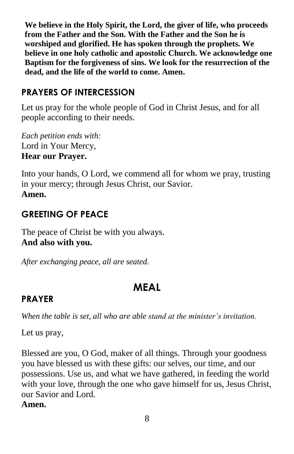**We believe in the Holy Spirit, the Lord, the giver of life, who proceeds from the Father and the Son. With the Father and the Son he is worshiped and glorified. He has spoken through the prophets. We believe in one holy catholic and apostolic Church. We acknowledge one Baptism for the forgiveness of sins. We look for the resurrection of the dead, and the life of the world to come. Amen.**

# **PRAYERS OF INTERCESSION**

Let us pray for the whole people of God in Christ Jesus, and for all people according to their needs.

*Each petition ends with:* Lord in Your Mercy, **Hear our Prayer.**

Into your hands, O Lord, we commend all for whom we pray, trusting in your mercy; through Jesus Christ, our Savior. **Amen.**

# **GREETING OF PEACE**

The peace of Christ be with you always. **And also with you.**

*After exchanging peace, all are seated.*

# **MEAL**

# **PRAYER**

*When the table is set, all who are able stand at the minister's invitation.*

Let us pray,

Blessed are you, O God, maker of all things. Through your goodness you have blessed us with these gifts: our selves, our time, and our possessions. Use us, and what we have gathered, in feeding the world with your love, through the one who gave himself for us, Jesus Christ, our Savior and Lord. **Amen.**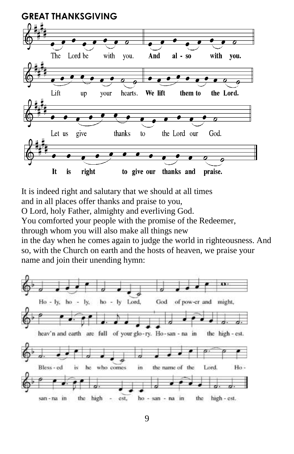

It is indeed right and salutary that we should at all times and in all places offer thanks and praise to you, O Lord, holy Father, almighty and everliving God. You comforted your people with the promise of the Redeemer, through whom you will also make all things new in the day when he comes again to judge the world in righteousness. And so, with the Church on earth and the hosts of heaven, we praise your name and join their unending hymn:

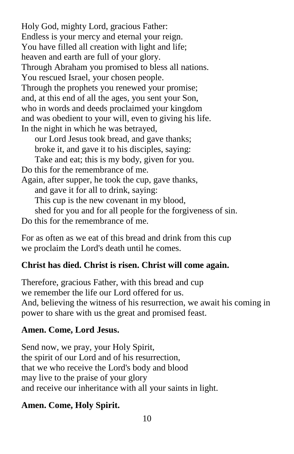Holy God, mighty Lord, gracious Father: Endless is your mercy and eternal your reign. You have filled all creation with light and life; heaven and earth are full of your glory. Through Abraham you promised to bless all nations. You rescued Israel, your chosen people. Through the prophets you renewed your promise; and, at this end of all the ages, you sent your Son, who in words and deeds proclaimed your kingdom and was obedient to your will, even to giving his life. In the night in which he was betrayed, our Lord Jesus took bread, and gave thanks; broke it, and gave it to his disciples, saying:

Take and eat; this is my body, given for you.

Do this for the remembrance of me.

Again, after supper, he took the cup, gave thanks, and gave it for all to drink, saying:

This cup is the new covenant in my blood,

shed for you and for all people for the forgiveness of sin.

Do this for the remembrance of me.

For as often as we eat of this bread and drink from this cup we proclaim the Lord's death until he comes.

### **Christ has died. Christ is risen. Christ will come again.**

Therefore, gracious Father, with this bread and cup we remember the life our Lord offered for us. And, believing the witness of his resurrection, we await his coming in power to share with us the great and promised feast.

### **Amen. Come, Lord Jesus.**

Send now, we pray, your Holy Spirit, the spirit of our Lord and of his resurrection, that we who receive the Lord's body and blood may live to the praise of your glory and receive our inheritance with all your saints in light.

## **Amen. Come, Holy Spirit.**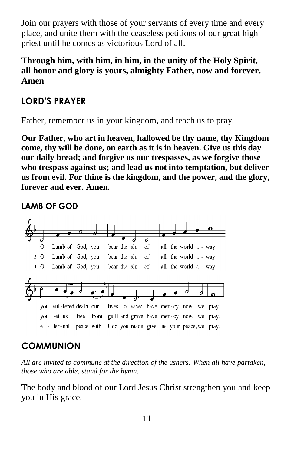Join our prayers with those of your servants of every time and every place, and unite them with the ceaseless petitions of our great high priest until he comes as victorious Lord of all.

#### **Through him, with him, in him, in the unity of the Holy Spirit, all honor and glory is yours, almighty Father, now and forever. Amen**

### **LORD'S PRAYER**

Father, remember us in your kingdom, and teach us to pray.

**Our Father, who art in heaven, hallowed be thy name, thy Kingdom come, thy will be done, on earth as it is in heaven. Give us this day our daily bread; and forgive us our trespasses, as we forgive those who trespass against us; and lead us not into temptation, but deliver us from evil. For thine is the kingdom, and the power, and the glory, forever and ever. Amen.**

#### **LAMB OF GOD**



## **COMMUNION**

*All are invited to commune at the direction of the ushers. When all have partaken, those who are able, stand for the hymn.*

The body and blood of our Lord Jesus Christ strengthen you and keep you in His grace.